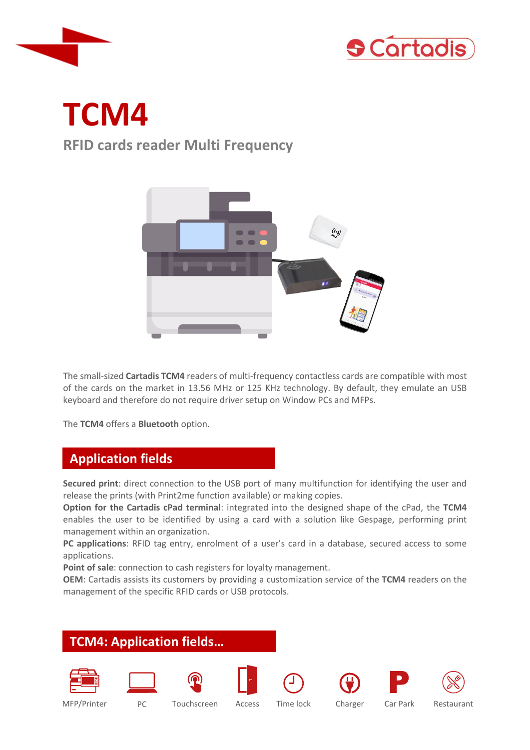



# **TCM4**

# **RFID cards reader Multi Frequency**



The small-sized **Cartadis TCM4** readers of multi-frequency contactless cards are compatible with most of the cards on the market in 13.56 MHz or 125 KHz technology. By default, they emulate an USB keyboard and therefore do not require driver setup on Window PCs and MFPs.

The **TCM4** offers a **Bluetooth** option.

# **Application fields**

**Secured print**: direct connection to the USB port of many multifunction for identifying the user and release the prints (with Print2me function available) or making copies.

**Option for the Cartadis cPad terminal**: integrated into the designed shape of the cPad, the **TCM4** enables the user to be identified by using a card with a solution like Gespage, performing print management within an organization.

**PC applications**: RFID tag entry, enrolment of a user's card in a database, secured access to some applications.

**Point of sale**: connection to cash registers for loyalty management.

**OEM**: Cartadis assists its customers by providing a customization service of the **TCM4** readers on the management of the specific RFID cards or USB protocols.

### **TCM4: Application fields…**

















MFP/Printer PC Touchscreen Access Time lock Charger Car Park Restaurant